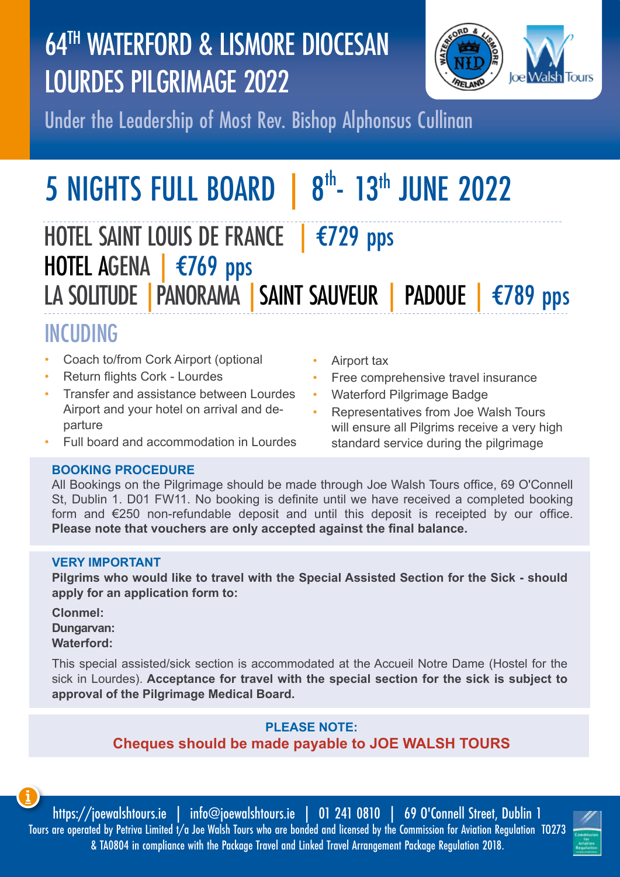# 64TH WATERFORD & LISMORE DIOCESAN LOURDES PILGRIMAGE 2022



Under the Leadership of Most Rev. Bishop Alphonsus Cullinan

# **5 NIGHTS FULL BOARD** 8<sup>th</sup>- 13<sup>th</sup> JUNE 2022

HOTEL SAINT LOUIS DE FRANCE | €729 pps HOTEL AGENA | €769 pps LA SOLITUDE | PANORAMA | SAINT SAUVEUR | PADOUE | €789 pps

# INCUDING

- Coach to/from Cork Airport (optional
- Return flights Cork Lourdes
- Transfer and assistance between Lourdes Airport and your hotel on arrival and departure
- Full board and accommodation in Lourdes

## • Airport tax

- Free comprehensive travel insurance
- Waterford Pilgrimage Badge
- Representatives from Joe Walsh Tours will ensure all Pilgrims receive a very high standard service during the pilgrimage

# **BOOKING PROCEDURE**

All Bookings on the Pilgrimage should be made through Joe Walsh Tours office, 69 O'Connell St, Dublin 1. D01 FW11. No booking is definite until we have received a completed booking form and €250 non-refundable deposit and until this deposit is receipted by our office. **Please note that vouchers are only accepted against the final balance.**

### **VERY IMPORTANT**

**Pilgrims who would like to travel with the Special Assisted Section for the Sick - should apply for an application form to:**

**Clonmel: Dungarvan: Waterford:** 

This special assisted/sick section is accommodated at the Accueil Notre Dame (Hostel for the sick in Lourdes). **Acceptance for travel with the special section for the sick is subject to approval of the Pilgrimage Medical Board.**

## **PLEASE NOTE: Cheques should be made payable to JOE WALSH TOURS**

https://joewalshtours.ie | info@joewalshtours.ie | 01 241 0810 | 69 O'Connell Street, Dublin 1 Tours are operated by Petriva Limited t/a Joe Walsh Tours who are bonded and licensed by the Commission for Aviation Regulation TO273 & TA0804 in compliance with the Package Travel and Linked Travel Arrangement Package Regulation 2018.

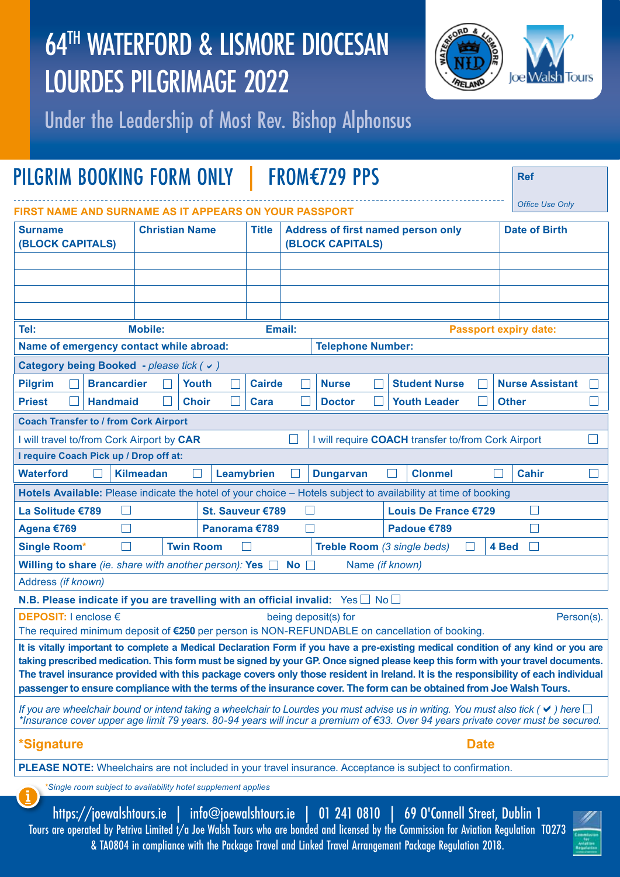# 64TH WATERFORD & LISMORE DIOCESAN LOURDES PILGRIMAGE 2022



Under the Leadership of Most Rev. Bishop Alphonsus

| PILGRIM BOOKING FORM ONLY                                                                                                                                                                                                                                                                                                                                                                                                                                                                                                            |                                                          |              |              |                                                                      |  | <b>FROM€729 PPS</b>  |  |                               |  |  |              | <b>Ref</b>             |  |
|--------------------------------------------------------------------------------------------------------------------------------------------------------------------------------------------------------------------------------------------------------------------------------------------------------------------------------------------------------------------------------------------------------------------------------------------------------------------------------------------------------------------------------------|----------------------------------------------------------|--------------|--------------|----------------------------------------------------------------------|--|----------------------|--|-------------------------------|--|--|--------------|------------------------|--|
| FIRST NAME AND SURNAME AS IT APPEARS ON YOUR PASSPORT                                                                                                                                                                                                                                                                                                                                                                                                                                                                                |                                                          |              |              |                                                                      |  |                      |  | <b>Office Use Only</b>        |  |  |              |                        |  |
| <b>Christian Name</b><br><b>Surname</b><br><b>(BLOCK CAPITALS)</b>                                                                                                                                                                                                                                                                                                                                                                                                                                                                   |                                                          |              | <b>Title</b> | <b>Address of first named person only</b><br><b>(BLOCK CAPITALS)</b> |  |                      |  | <b>Date of Birth</b>          |  |  |              |                        |  |
|                                                                                                                                                                                                                                                                                                                                                                                                                                                                                                                                      |                                                          |              |              |                                                                      |  |                      |  |                               |  |  |              |                        |  |
|                                                                                                                                                                                                                                                                                                                                                                                                                                                                                                                                      |                                                          |              |              |                                                                      |  |                      |  |                               |  |  |              |                        |  |
|                                                                                                                                                                                                                                                                                                                                                                                                                                                                                                                                      |                                                          |              |              |                                                                      |  |                      |  |                               |  |  |              |                        |  |
| Tel:                                                                                                                                                                                                                                                                                                                                                                                                                                                                                                                                 | <b>Mobile:</b><br>Email:<br><b>Passport expiry date:</b> |              |              |                                                                      |  |                      |  |                               |  |  |              |                        |  |
| Name of emergency contact while abroad:<br><b>Telephone Number:</b>                                                                                                                                                                                                                                                                                                                                                                                                                                                                  |                                                          |              |              |                                                                      |  |                      |  |                               |  |  |              |                        |  |
| Category being Booked - please tick (v)                                                                                                                                                                                                                                                                                                                                                                                                                                                                                              |                                                          |              |              |                                                                      |  |                      |  |                               |  |  |              |                        |  |
| <b>Brancardier</b><br><b>Pilgrim</b>                                                                                                                                                                                                                                                                                                                                                                                                                                                                                                 |                                                          | <b>Youth</b> |              | <b>Cairde</b>                                                        |  | <b>Nurse</b>         |  | <b>Student Nurse</b>          |  |  |              | <b>Nurse Assistant</b> |  |
| <b>Priest</b><br><b>Handmaid</b>                                                                                                                                                                                                                                                                                                                                                                                                                                                                                                     |                                                          | <b>Choir</b> |              | Cara                                                                 |  | <b>Doctor</b>        |  | <b>Youth Leader</b>           |  |  | <b>Other</b> |                        |  |
| <b>Coach Transfer to / from Cork Airport</b>                                                                                                                                                                                                                                                                                                                                                                                                                                                                                         |                                                          |              |              |                                                                      |  |                      |  |                               |  |  |              |                        |  |
| I will travel to/from Cork Airport by CAR<br>I will require COACH transfer to/from Cork Airport                                                                                                                                                                                                                                                                                                                                                                                                                                      |                                                          |              |              |                                                                      |  |                      |  |                               |  |  |              |                        |  |
| I require Coach Pick up / Drop off at:                                                                                                                                                                                                                                                                                                                                                                                                                                                                                               |                                                          |              |              |                                                                      |  |                      |  |                               |  |  |              |                        |  |
| <b>Kilmeadan</b><br><b>Cahir</b><br><b>Waterford</b><br>Leamybrien<br><b>Dungarvan</b><br><b>Clonmel</b>                                                                                                                                                                                                                                                                                                                                                                                                                             |                                                          |              |              |                                                                      |  |                      |  |                               |  |  |              |                        |  |
| Hotels Available: Please indicate the hotel of your choice - Hotels subject to availability at time of booking                                                                                                                                                                                                                                                                                                                                                                                                                       |                                                          |              |              |                                                                      |  |                      |  |                               |  |  |              |                        |  |
| La Solitude €789                                                                                                                                                                                                                                                                                                                                                                                                                                                                                                                     |                                                          |              |              | St. Sauveur €789                                                     |  |                      |  | Louis De France €729          |  |  |              | $\mathsf{L}$           |  |
| Agena €769<br>Panorama €789<br>Padoue €789<br>$\mathbf{I}$<br><b>Twin Room</b><br>Treble Room (3 single beds)<br>4 Bed<br>ш                                                                                                                                                                                                                                                                                                                                                                                                          |                                                          |              |              |                                                                      |  |                      |  |                               |  |  |              |                        |  |
| <b>Single Room*</b><br>Willing to share (ie. share with another person): Yes $\Box$ No $\Box$                                                                                                                                                                                                                                                                                                                                                                                                                                        |                                                          |              |              |                                                                      |  |                      |  | Name (if known)               |  |  |              |                        |  |
| Address (if known)                                                                                                                                                                                                                                                                                                                                                                                                                                                                                                                   |                                                          |              |              |                                                                      |  |                      |  |                               |  |  |              |                        |  |
| N.B. Please indicate if you are travelling with an official invalid: $Yes \Box No \Box$                                                                                                                                                                                                                                                                                                                                                                                                                                              |                                                          |              |              |                                                                      |  |                      |  |                               |  |  |              |                        |  |
| <b>DEPOSIT: I enclose €</b>                                                                                                                                                                                                                                                                                                                                                                                                                                                                                                          |                                                          |              |              |                                                                      |  | being deposit(s) for |  |                               |  |  |              | Person(s).             |  |
| The required minimum deposit of €250 per person is NON-REFUNDABLE on cancellation of booking.                                                                                                                                                                                                                                                                                                                                                                                                                                        |                                                          |              |              |                                                                      |  |                      |  |                               |  |  |              |                        |  |
| It is vitally important to complete a Medical Declaration Form if you have a pre-existing medical condition of any kind or you are<br>taking prescribed medication. This form must be signed by your GP. Once signed please keep this form with your travel documents.<br>The travel insurance provided with this package covers only those resident in Ireland. It is the responsibility of each individual<br>passenger to ensure compliance with the terms of the insurance cover. The form can be obtained from Joe Walsh Tours. |                                                          |              |              |                                                                      |  |                      |  |                               |  |  |              |                        |  |
| If you are wheelchair bound or intend taking a wheelchair to Lourdes you must advise us in writing. You must also tick ( $\checkmark$ ) here $\Box$<br>*Insurance cover upper age limit 79 years. 80-94 years will incur a premium of €33. Over 94 years private cover must be secured.                                                                                                                                                                                                                                              |                                                          |              |              |                                                                      |  |                      |  |                               |  |  |              |                        |  |
| <b>Date</b><br><i>*Signature</i>                                                                                                                                                                                                                                                                                                                                                                                                                                                                                                     |                                                          |              |              |                                                                      |  |                      |  |                               |  |  |              |                        |  |
| <b>PLEASE NOTE:</b> Wheelchairs are not included in your travel insurance. Acceptance is subject to confirmation.                                                                                                                                                                                                                                                                                                                                                                                                                    |                                                          |              |              |                                                                      |  |                      |  |                               |  |  |              |                        |  |
| *Single room subject to availability hotel supplement applies<br><u>i</u>                                                                                                                                                                                                                                                                                                                                                                                                                                                            |                                                          |              |              |                                                                      |  |                      |  |                               |  |  |              |                        |  |
| https://joewalshtours.ie                                                                                                                                                                                                                                                                                                                                                                                                                                                                                                             |                                                          |              |              | $info@j$ oewalshtours.ie                                             |  | 01 241 0810          |  | 69 O'Connell Street, Dublin 1 |  |  |              |                        |  |

Tours are operated by Petriva Limited t/a Joe Walsh Tours who are bonded and licensed by the Commission for Aviation Regulation TO273 & TA0804 in compliance with the Package Travel and Linked Travel Arrangement Package Regulation 2018.

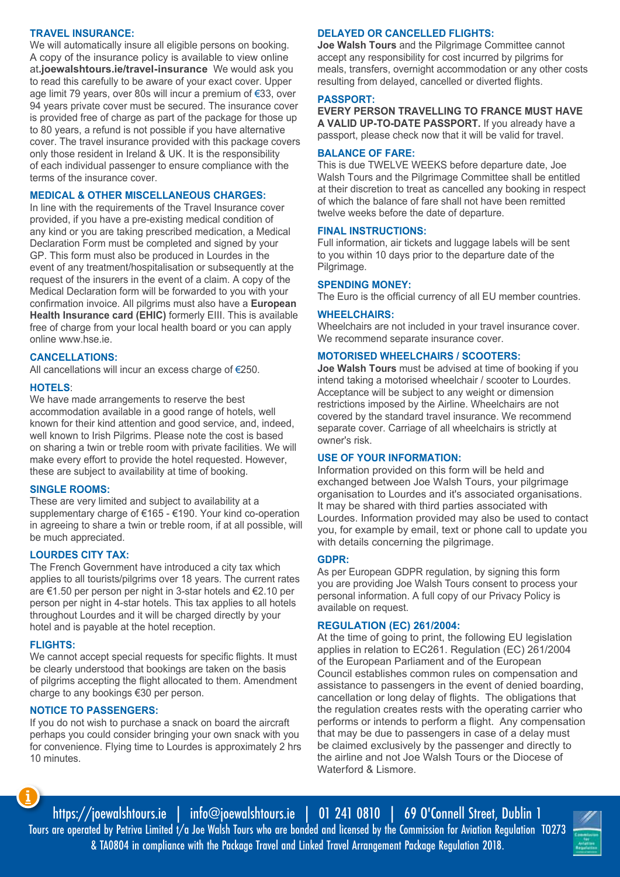#### **TRAVEL INSURANCE:**

We will automatically insure all eligible persons on booking. A copy of the insurance policy is available to view online at**.joewalshtours.ie/travel-insurance** We would ask you to read this carefully to be aware of your exact cover. Upper age limit 79 years, over 80s will incur a premium of €33, over 94 years private cover must be secured. The insurance cover is provided free of charge as part of the package for those up to 80 years, a refund is not possible if you have alternative cover. The travel insurance provided with this package covers only those resident in Ireland & UK. It is the responsibility of each individual passenger to ensure compliance with the terms of the insurance cover.

#### **MEDICAL & OTHER MISCELLANEOUS CHARGES:**

In line with the requirements of the Travel Insurance cover provided, if you have a pre-existing medical condition of any kind or you are taking prescribed medication, a Medical Declaration Form must be completed and signed by your GP. This form must also be produced in Lourdes in the event of any treatment/hospitalisation or subsequently at the request of the insurers in the event of a claim. A copy of the Medical Declaration form will be forwarded to you with your confirmation invoice. All pilgrims must also have a **European Health Insurance card (EHIC)** formerly EIII. This is available free of charge from your local health board or you can apply online www.hse.ie.

#### **CANCELLATIONS:**

All cancellations will incur an excess charge of €250.

#### **HOTELS**:

We have made arrangements to reserve the best accommodation available in a good range of hotels, well known for their kind attention and good service, and, indeed, well known to Irish Pilgrims. Please note the cost is based on sharing a twin or treble room with private facilities. We will make every effort to provide the hotel requested. However, these are subject to availability at time of booking.

#### **SINGLE ROOMS:**

These are very limited and subject to availability at a supplementary charge of €165 - €190. Your kind co-operation in agreeing to share a twin or treble room, if at all possible, will be much appreciated.

#### **LOURDES CITY TAX:**

The French Government have introduced a city tax which applies to all tourists/pilgrims over 18 years. The current rates are €1.50 per person per night in 3-star hotels and €2.10 per person per night in 4-star hotels. This tax applies to all hotels throughout Lourdes and it will be charged directly by your hotel and is payable at the hotel reception.

#### **FLIGHTS:**

We cannot accept special requests for specific flights. It must be clearly understood that bookings are taken on the basis of pilgrims accepting the flight allocated to them. Amendment charge to any bookings €30 per person.

#### **NOTICE TO PASSENGERS:**

If you do not wish to purchase a snack on board the aircraft perhaps you could consider bringing your own snack with you for convenience. Flying time to Lourdes is approximately 2 hrs 10 minutes.

#### **DELAYED OR CANCELLED FLIGHTS:**

**Joe Walsh Tours** and the Pilgrimage Committee cannot accept any responsibility for cost incurred by pilgrims for meals, transfers, overnight accommodation or any other costs resulting from delayed, cancelled or diverted flights.

#### **PASSPORT:**

**EVERY PERSON TRAVELLING TO FRANCE MUST HAVE A VALID UP-TO-DATE PASSPORT.** If you already have a passport, please check now that it will be valid for travel.

#### **BALANCE OF FARE:**

This is due TWELVE WEEKS before departure date, Joe Walsh Tours and the Pilgrimage Committee shall be entitled at their discretion to treat as cancelled any booking in respect of which the balance of fare shall not have been remitted twelve weeks before the date of departure.

#### **FINAL INSTRUCTIONS:**

Full information, air tickets and luggage labels will be sent to you within 10 days prior to the departure date of the Pilgrimage.

#### **SPENDING MONEY:**

The Euro is the official currency of all EU member countries.

#### **WHEELCHAIRS:**

Wheelchairs are not included in your travel insurance cover. We recommend separate insurance cover.

#### **MOTORISED WHEELCHAIRS / SCOOTERS:**

**Joe Walsh Tours** must be advised at time of booking if you intend taking a motorised wheelchair / scooter to Lourdes. Acceptance will be subject to any weight or dimension restrictions imposed by the Airline. Wheelchairs are not covered by the standard travel insurance. We recommend separate cover. Carriage of all wheelchairs is strictly at owner's risk.

#### **USE OF YOUR INFORMATION:**

Information provided on this form will be held and exchanged between Joe Walsh Tours, your pilgrimage organisation to Lourdes and it's associated organisations. It may be shared with third parties associated with Lourdes. Information provided may also be used to contact you, for example by email, text or phone call to update you with details concerning the pilgrimage.

#### **GDPR:**

As per European GDPR regulation, by signing this form you are providing Joe Walsh Tours consent to process your personal information. A full copy of our Privacy Policy is available on request.

#### **REGULATION (EC) 261/2004:**

At the time of going to print, the following EU legislation applies in relation to EC261. Regulation (EC) 261/2004 of the European Parliament and of the European Council establishes common rules on compensation and assistance to passengers in the event of denied boarding, cancellation or long delay of flights. The obligations that the regulation creates rests with the operating carrier who performs or intends to perform a flight. Any compensation that may be due to passengers in case of a delay must be claimed exclusively by the passenger and directly to the airline and not Joe Walsh Tours or the Diocese of Waterford & Lismore.

https://joewalshtours.ie | info@joewalshtours.ie | 01 241 0810 | 69 O'Connell Street, Dublin 1 Tours are operated by Petriva Limited t/a Joe Walsh Tours who are bonded and licensed by the Commission for Aviation Regulation TO273 & TA0804 in compliance with the Package Travel and Linked Travel Arrangement Package Regulation 2018.